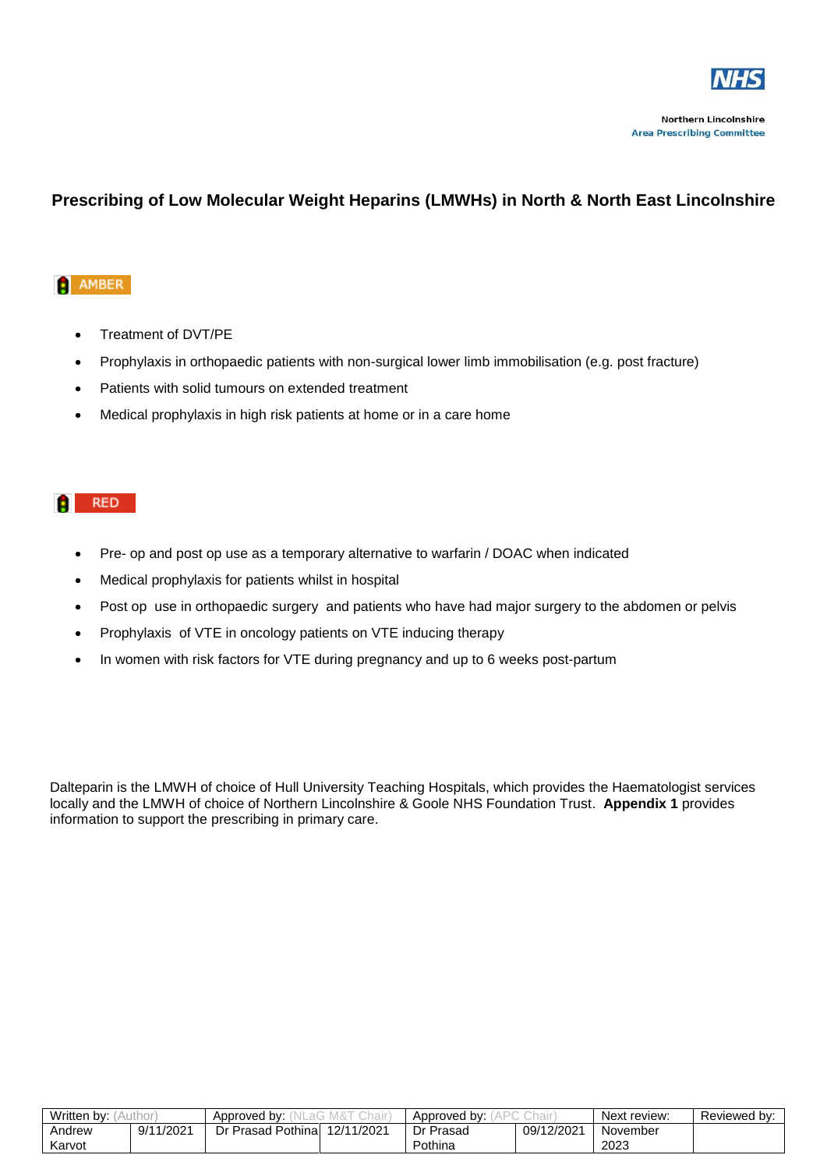

## **Prescribing of Low Molecular Weight Heparins (LMWHs) in North & North East Lincolnshire**

## **AMBER**

- Treatment of DVT/PE
- Prophylaxis in orthopaedic patients with non-surgical lower limb immobilisation (e.g. post fracture)
- Patients with solid tumours on extended treatment
- Medical prophylaxis in high risk patients at home or in a care home

## **RED**

- Pre- op and post op use as a temporary alternative to warfarin / DOAC when indicated
- Medical prophylaxis for patients whilst in hospital
- Post op use in orthopaedic surgery and patients who have had major surgery to the abdomen or pelvis
- Prophylaxis of VTE in oncology patients on VTE inducing therapy
- In women with risk factors for VTE during pregnancy and up to 6 weeks post-partum

Dalteparin is the LMWH of choice of Hull University Teaching Hospitals, which provides the Haematologist services locally and the LMWH of choice of Northern Lincolnshire & Goole NHS Foundation Trust. **Appendix 1** provides information to support the prescribing in primary care.

| Written by: |                           | hair<br>Approved by:    |            | Approved by: |            | Next review: | Reviewed by: |
|-------------|---------------------------|-------------------------|------------|--------------|------------|--------------|--------------|
| Andrew      | 1/202 <sup>1</sup><br>9/1 | ∣ Pothinal<br>Dr Prasad | 12/11/2021 | Dr Prasad    | 09/12/2021 | November     |              |
| Karvot      |                           |                         |            | Pothina      |            | 2023         |              |